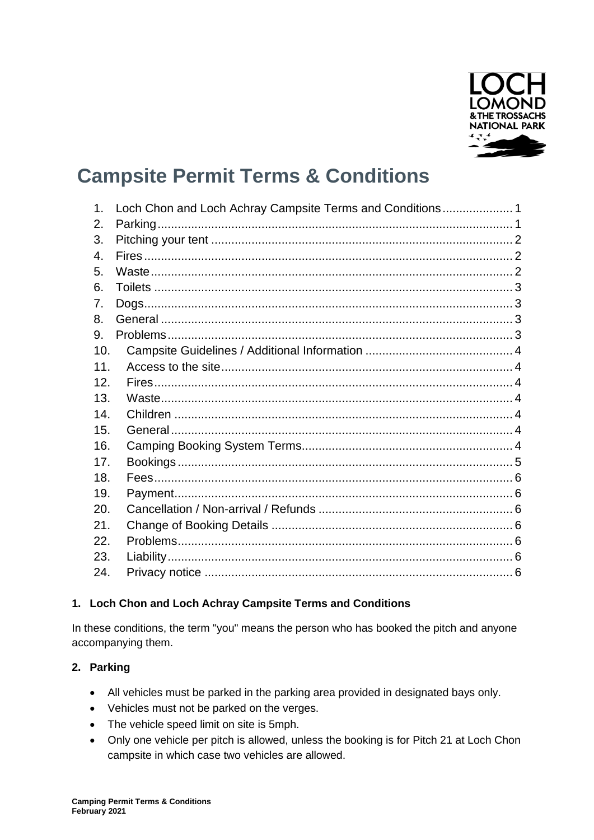

# **Campsite Permit Terms & Conditions**

| $\mathbf 1$ . | Loch Chon and Loch Achray Campsite Terms and Conditions 1 |  |
|---------------|-----------------------------------------------------------|--|
| 2.            |                                                           |  |
|               |                                                           |  |
| 3.            |                                                           |  |
| 4.            |                                                           |  |
| 5.            |                                                           |  |
| 6.            |                                                           |  |
| 7.            |                                                           |  |
| 8.            |                                                           |  |
| 9.            |                                                           |  |
| 10.           |                                                           |  |
| 11.           |                                                           |  |
| 12.           |                                                           |  |
| 13.           |                                                           |  |
| 14.           |                                                           |  |
| 15.           |                                                           |  |
| 16.           |                                                           |  |
| 17.           |                                                           |  |
| 18.           |                                                           |  |
| 19.           |                                                           |  |
| 20.           |                                                           |  |
| 21.           |                                                           |  |
| 22.           |                                                           |  |
| 23.           |                                                           |  |
| 24.           |                                                           |  |

## <span id="page-0-0"></span>1. Loch Chon and Loch Achray Campsite Terms and Conditions

In these conditions, the term "you" means the person who has booked the pitch and anyone accompanying them.

## <span id="page-0-1"></span>2. Parking

- All vehicles must be parked in the parking area provided in designated bays only.
- Vehicles must not be parked on the verges.
- The vehicle speed limit on site is 5mph.
- Only one vehicle per pitch is allowed, unless the booking is for Pitch 21 at Loch Chon campsite in which case two vehicles are allowed.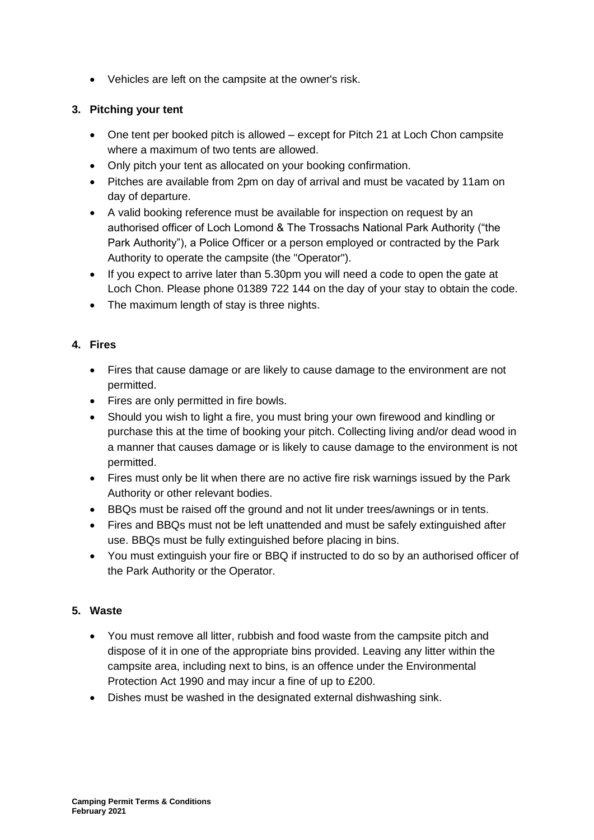• Vehicles are left on the campsite at the owner's risk.

# <span id="page-1-0"></span>**3. Pitching your tent**

- One tent per booked pitch is allowed except for Pitch 21 at Loch Chon campsite where a maximum of two tents are allowed.
- Only pitch your tent as allocated on your booking confirmation.
- Pitches are available from 2pm on day of arrival and must be vacated by 11am on day of departure.
- A valid booking reference must be available for inspection on request by an authorised officer of Loch Lomond & The Trossachs National Park Authority ("the Park Authority"), a Police Officer or a person employed or contracted by the Park Authority to operate the campsite (the "Operator").
- If you expect to arrive later than 5.30pm you will need a code to open the gate at Loch Chon. Please phone 01389 722 144 on the day of your stay to obtain the code.
- The maximum length of stay is three nights.

# <span id="page-1-1"></span>**4. Fires**

- Fires that cause damage or are likely to cause damage to the environment are not permitted.
- Fires are only permitted in fire bowls.
- Should you wish to light a fire, you must bring your own firewood and kindling or purchase this at the time of booking your pitch. Collecting living and/or dead wood in a manner that causes damage or is likely to cause damage to the environment is not permitted.
- Fires must only be lit when there are no active fire risk warnings issued by the Park Authority or other relevant bodies.
- BBQs must be raised off the ground and not lit under trees/awnings or in tents.
- Fires and BBQs must not be left unattended and must be safely extinguished after use. BBQs must be fully extinguished before placing in bins.
- You must extinguish your fire or BBQ if instructed to do so by an authorised officer of the Park Authority or the Operator.

# <span id="page-1-2"></span>**5. Waste**

- You must remove all litter, rubbish and food waste from the campsite pitch and dispose of it in one of the appropriate bins provided. Leaving any litter within the campsite area, including next to bins, is an offence under the Environmental Protection Act 1990 and may incur a fine of up to £200.
- Dishes must be washed in the designated external dishwashing sink.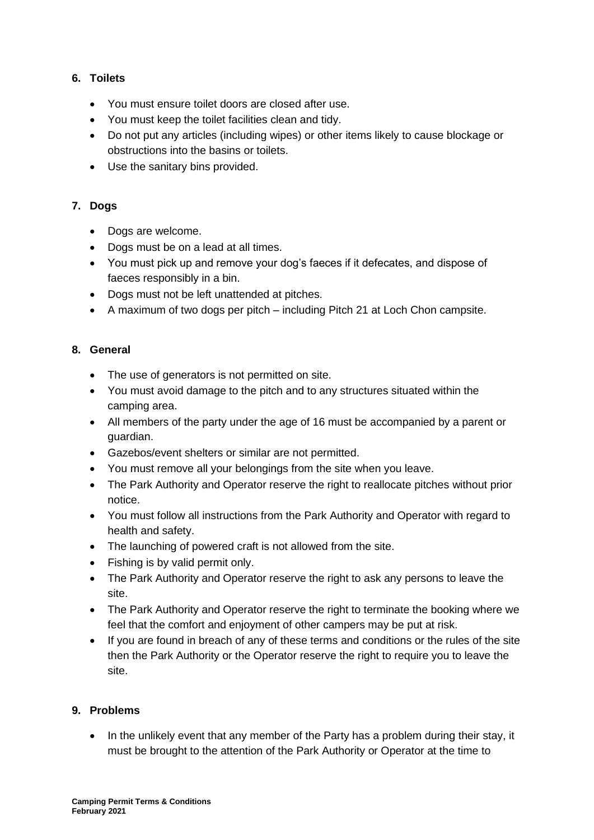## <span id="page-2-0"></span>**6. Toilets**

- You must ensure toilet doors are closed after use.
- You must keep the toilet facilities clean and tidy.
- Do not put any articles (including wipes) or other items likely to cause blockage or obstructions into the basins or toilets.
- Use the sanitary bins provided.

## <span id="page-2-1"></span>**7. Dogs**

- Dogs are welcome.
- Dogs must be on a lead at all times.
- You must pick up and remove your dog's faeces if it defecates, and dispose of faeces responsibly in a bin.
- Dogs must not be left unattended at pitches.
- A maximum of two dogs per pitch including Pitch 21 at Loch Chon campsite.

## <span id="page-2-2"></span>**8. General**

- The use of generators is not permitted on site.
- You must avoid damage to the pitch and to any structures situated within the camping area.
- All members of the party under the age of 16 must be accompanied by a parent or guardian.
- Gazebos/event shelters or similar are not permitted.
- You must remove all your belongings from the site when you leave.
- The Park Authority and Operator reserve the right to reallocate pitches without prior notice.
- You must follow all instructions from the Park Authority and Operator with regard to health and safety.
- The launching of powered craft is not allowed from the site.
- Fishing is by valid permit only.
- The Park Authority and Operator reserve the right to ask any persons to leave the site.
- The Park Authority and Operator reserve the right to terminate the booking where we feel that the comfort and enjoyment of other campers may be put at risk.
- If you are found in breach of any of these terms and conditions or the rules of the site then the Park Authority or the Operator reserve the right to require you to leave the site.

## <span id="page-2-3"></span>**9. Problems**

In the unlikely event that any member of the Party has a problem during their stay, it must be brought to the attention of the Park Authority or Operator at the time to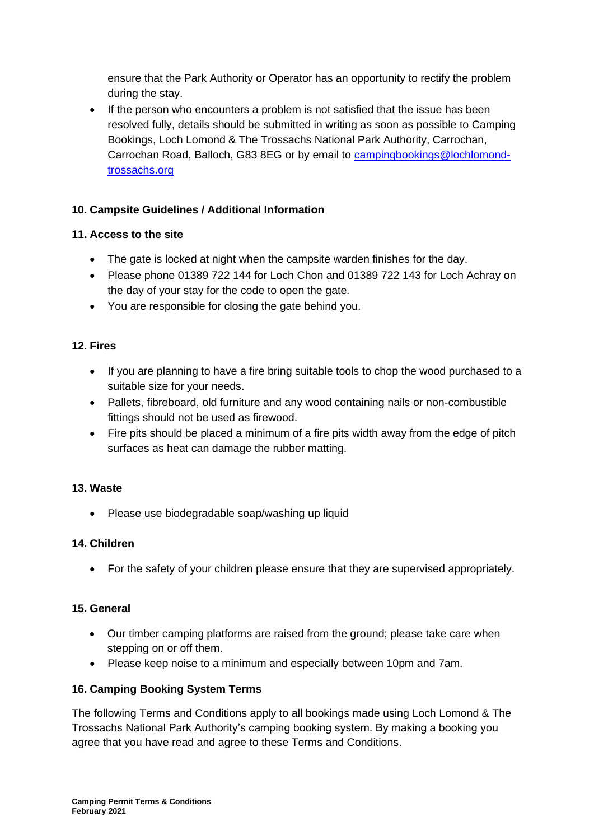ensure that the Park Authority or Operator has an opportunity to rectify the problem during the stay.

• If the person who encounters a problem is not satisfied that the issue has been resolved fully, details should be submitted in writing as soon as possible to Camping Bookings, Loch Lomond & The Trossachs National Park Authority, Carrochan, Carrochan Road, Balloch, G83 8EG or by email to [campingbookings@lochlomond](mailto:campingbookings@lochlomond-trossachs.org)[trossachs.org](mailto:campingbookings@lochlomond-trossachs.org)

# <span id="page-3-0"></span>**10. Campsite Guidelines / Additional Information**

## <span id="page-3-1"></span>**11. Access to the site**

- The gate is locked at night when the campsite warden finishes for the day.
- Please phone 01389 722 144 for Loch Chon and 01389 722 143 for Loch Achray on the day of your stay for the code to open the gate.
- You are responsible for closing the gate behind you.

## <span id="page-3-2"></span>**12. Fires**

- If you are planning to have a fire bring suitable tools to chop the wood purchased to a suitable size for your needs.
- Pallets, fibreboard, old furniture and any wood containing nails or non-combustible fittings should not be used as firewood.
- Fire pits should be placed a minimum of a fire pits width away from the edge of pitch surfaces as heat can damage the rubber matting.

## <span id="page-3-3"></span>**13. Waste**

• Please use biodegradable soap/washing up liquid

## <span id="page-3-4"></span>**14. Children**

• For the safety of your children please ensure that they are supervised appropriately.

#### <span id="page-3-5"></span>**15. General**

- Our timber camping platforms are raised from the ground; please take care when stepping on or off them.
- Please keep noise to a minimum and especially between 10pm and 7am.

## <span id="page-3-6"></span>**16. Camping Booking System Terms**

The following Terms and Conditions apply to all bookings made using Loch Lomond & The Trossachs National Park Authority's camping booking system. By making a booking you agree that you have read and agree to these Terms and Conditions.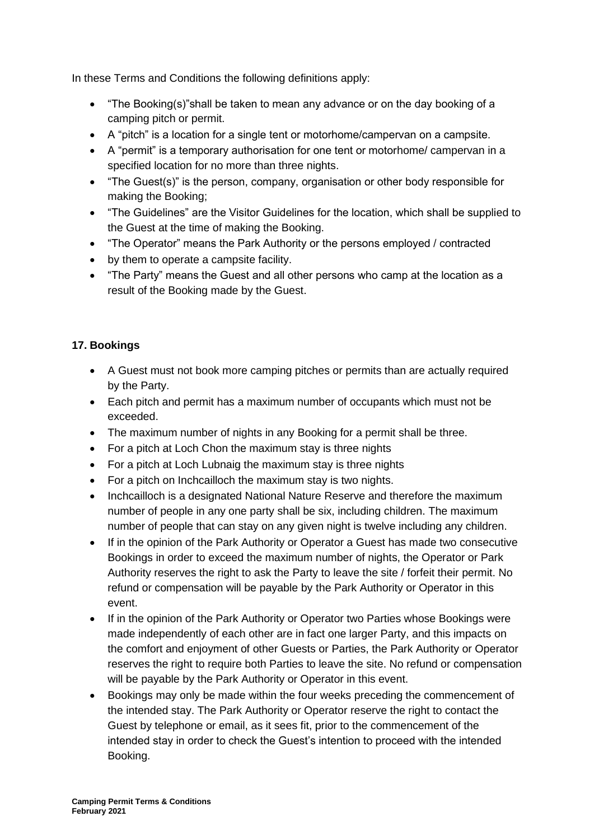In these Terms and Conditions the following definitions apply:

- "The Booking(s)"shall be taken to mean any advance or on the day booking of a camping pitch or permit.
- A "pitch" is a location for a single tent or motorhome/campervan on a campsite.
- A "permit" is a temporary authorisation for one tent or motorhome/ campervan in a specified location for no more than three nights.
- "The Guest(s)" is the person, company, organisation or other body responsible for making the Booking;
- "The Guidelines" are the Visitor Guidelines for the location, which shall be supplied to the Guest at the time of making the Booking.
- "The Operator" means the Park Authority or the persons employed / contracted
- by them to operate a campsite facility.
- "The Party" means the Guest and all other persons who camp at the location as a result of the Booking made by the Guest.

## <span id="page-4-0"></span>**17. Bookings**

- A Guest must not book more camping pitches or permits than are actually required by the Party.
- Each pitch and permit has a maximum number of occupants which must not be exceeded.
- The maximum number of nights in any Booking for a permit shall be three.
- For a pitch at Loch Chon the maximum stay is three nights
- For a pitch at Loch Lubnaig the maximum stay is three nights
- For a pitch on Inchcailloch the maximum stay is two nights.
- Inchcailloch is a designated National Nature Reserve and therefore the maximum number of people in any one party shall be six, including children. The maximum number of people that can stay on any given night is twelve including any children.
- If in the opinion of the Park Authority or Operator a Guest has made two consecutive Bookings in order to exceed the maximum number of nights, the Operator or Park Authority reserves the right to ask the Party to leave the site / forfeit their permit. No refund or compensation will be payable by the Park Authority or Operator in this event.
- If in the opinion of the Park Authority or Operator two Parties whose Bookings were made independently of each other are in fact one larger Party, and this impacts on the comfort and enjoyment of other Guests or Parties, the Park Authority or Operator reserves the right to require both Parties to leave the site. No refund or compensation will be payable by the Park Authority or Operator in this event.
- Bookings may only be made within the four weeks preceding the commencement of the intended stay. The Park Authority or Operator reserve the right to contact the Guest by telephone or email, as it sees fit, prior to the commencement of the intended stay in order to check the Guest's intention to proceed with the intended Booking.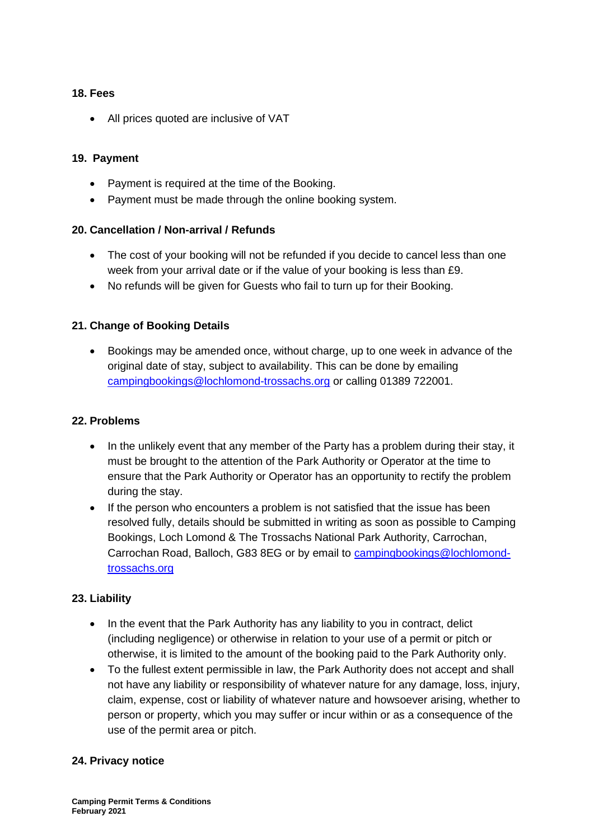#### <span id="page-5-0"></span>**18. Fees**

• All prices quoted are inclusive of VAT

#### <span id="page-5-1"></span>**19. Payment**

- Payment is required at the time of the Booking.
- Payment must be made through the online booking system.

#### <span id="page-5-2"></span>**20. Cancellation / Non-arrival / Refunds**

- The cost of your booking will not be refunded if you decide to cancel less than one week from your arrival date or if the value of your booking is less than £9.
- No refunds will be given for Guests who fail to turn up for their Booking.

#### <span id="page-5-3"></span>**21. Change of Booking Details**

• Bookings may be amended once, without charge, up to one week in advance of the original date of stay, subject to availability. This can be done by emailing [campingbookings@lochlomond-trossachs.org](mailto:campingbookings@lochlomond-trossachs.org) or calling 01389 722001.

#### <span id="page-5-4"></span>**22. Problems**

- In the unlikely event that any member of the Party has a problem during their stay, it must be brought to the attention of the Park Authority or Operator at the time to ensure that the Park Authority or Operator has an opportunity to rectify the problem during the stay.
- If the person who encounters a problem is not satisfied that the issue has been resolved fully, details should be submitted in writing as soon as possible to Camping Bookings, Loch Lomond & The Trossachs National Park Authority, Carrochan, Carrochan Road, Balloch, G83 8EG or by email to [campingbookings@lochlomond](mailto:campingbookings@lochlomond-trossachs.org)[trossachs.org](mailto:campingbookings@lochlomond-trossachs.org)

#### <span id="page-5-5"></span>**23. Liability**

- In the event that the Park Authority has any liability to you in contract, delict (including negligence) or otherwise in relation to your use of a permit or pitch or otherwise, it is limited to the amount of the booking paid to the Park Authority only.
- To the fullest extent permissible in law, the Park Authority does not accept and shall not have any liability or responsibility of whatever nature for any damage, loss, injury, claim, expense, cost or liability of whatever nature and howsoever arising, whether to person or property, which you may suffer or incur within or as a consequence of the use of the permit area or pitch.

#### <span id="page-5-6"></span>**24. Privacy notice**